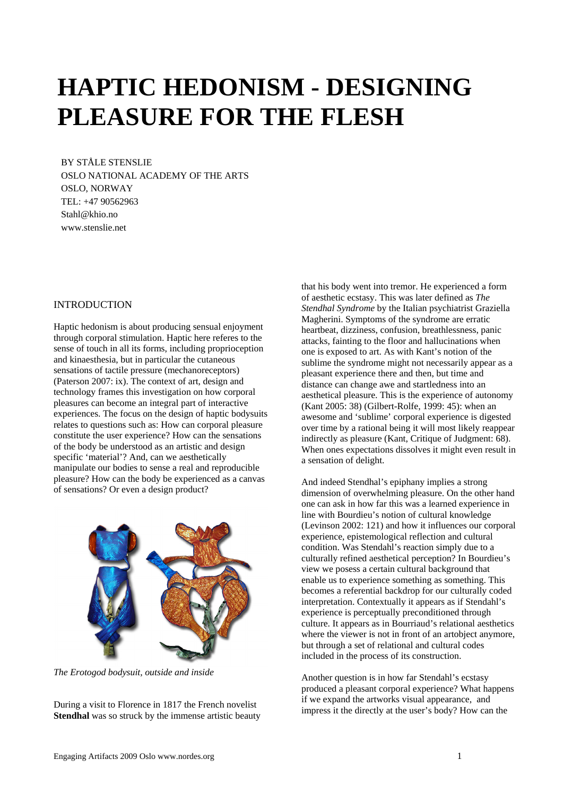# **HAPTIC HEDONISM - DESIGNING PLEASURE FOR THE FLESH**

BY STÅLE STENSLIE OSLO NATIONAL ACADEMY OF THE ARTS OSLO, NORWAY TEL: +47 90562963 Stahl@khio.no www.stenslie.net

## INTRODUCTION

Haptic hedonism is about producing sensual enjoyment through corporal stimulation. Haptic here referes to the sense of touch in all its forms, including proprioception and kinaesthesia, but in particular the cutaneous sensations of tactile pressure (mechanoreceptors) (Paterson 2007: ix). The context of art, design and technology frames this investigation on how corporal pleasures can become an integral part of interactive experiences. The focus on the design of haptic bodysuits relates to questions such as: How can corporal pleasure constitute the user experience? How can the sensations of the body be understood as an artistic and design specific 'material'? And, can we aesthetically manipulate our bodies to sense a real and reproducible pleasure? How can the body be experienced as a canvas of sensations? Or even a design product?



*The Erotogod bodysuit, outside and inside* 

During a visit to Florence in 1817 the French novelist **Stendhal** was so struck by the immense artistic beauty

that his body went into tremor. He experienced a form of aesthetic ecstasy. This was later defined as *The Stendhal Syndrome* by the Italian psychiatrist Graziella Magherini. Symptoms of the syndrome are erratic heartbeat, dizziness, confusion, breathlessness, panic attacks, fainting to the floor and hallucinations when one is exposed to art. As with Kant's notion of the sublime the syndrome might not necessarily appear as a pleasant experience there and then, but time and distance can change awe and startledness into an aesthetical pleasure. This is the experience of autonomy (Kant 2005: 38) (Gilbert-Rolfe, 1999: 45): when an awesome and 'sublime' corporal experience is digested over time by a rational being it will most likely reappear indirectly as pleasure (Kant, Critique of Judgment: 68). When ones expectations dissolves it might even result in a sensation of delight.

And indeed Stendhal's epiphany implies a strong dimension of overwhelming pleasure. On the other hand one can ask in how far this was a learned experience in line with Bourdieu's notion of cultural knowledge (Levinson 2002: 121) and how it influences our corporal experience, epistemological reflection and cultural condition. Was Stendahl's reaction simply due to a culturally refined aesthetical perception? In Bourdieu's view we posess a certain cultural background that enable us to experience something as something. This becomes a referential backdrop for our culturally coded interpretation. Contextually it appears as if Stendahl's experience is perceptually preconditioned through culture. It appears as in Bourriaud's relational aesthetics where the viewer is not in front of an artobject anymore, but through a set of relational and cultural codes included in the process of its construction.

Another question is in how far Stendahl's ecstasy produced a pleasant corporal experience? What happens if we expand the artworks visual appearance, and impress it the directly at the user's body? How can the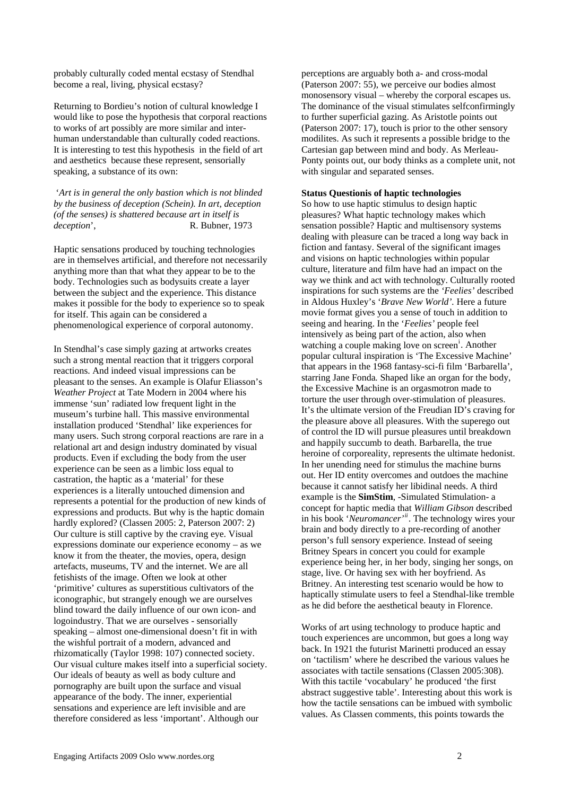probably culturally coded mental ecstasy of Stendhal become a real, living, physical ecstasy?

Returning to Bordieu's notion of cultural knowledge I would like to pose the hypothesis that corporal reactions to works of art possibly are more similar and interhuman understandable than culturally coded reactions. It is interesting to test this hypothesis in the field of art and aesthetics because these represent, sensorially speaking, a substance of its own:

 '*Art is in general the only bastion which is not blinded by the business of deception (Schein). In art, deception (of the senses) is shattered because art in itself is deception*', R. Bubner, 1973

Haptic sensations produced by touching technologies are in themselves artificial, and therefore not necessarily anything more than that what they appear to be to the body. Technologies such as bodysuits create a layer between the subject and the experience. This distance makes it possible for the body to experience so to speak for itself. This again can be considered a phenomenological experience of corporal autonomy.

In Stendhal's case simply gazing at artworks creates such a strong mental reaction that it triggers corporal reactions. And indeed visual impressions can be pleasant to the senses. An example is Olafur Eliasson's *Weather Project* at Tate Modern in 2004 where his immense 'sun' radiated low frequent light in the museum's turbine hall. This massive environmental installation produced 'Stendhal' like experiences for many users. Such strong corporal reactions are rare in a relational art and design industry dominated by visual products. Even if excluding the body from the user experience can be seen as a limbic loss equal to castration, the haptic as a 'material' for these experiences is a literally untouched dimension and represents a potential for the production of new kinds of expressions and products. But why is the haptic domain hardly explored? (Classen 2005: 2, Paterson 2007: 2) Our culture is still captive by the craving eye. Visual expressions dominate our experience economy – as we know it from the theater, the movies, opera, design artefacts, museums, TV and the internet. We are all fetishists of the image. Often we look at other 'primitive' cultures as superstitious cultivators of the iconographic, but strangely enough we are ourselves blind toward the daily influence of our own icon- and logoindustry. That we are ourselves - sensorially speaking – almost one-dimensional doesn't fit in with the wishful portrait of a modern, advanced and rhizomatically (Taylor 1998: 107) connected society. Our visual culture makes itself into a superficial society. Our ideals of beauty as well as body culture and pornography are built upon the surface and visual appearance of the body. The inner, experiential sensations and experience are left invisible and are therefore considered as less 'important'. Although our

perceptions are arguably both a- and cross-modal (Paterson 2007: 55), we perceive our bodies almost monosensory visual – whereby the corporal escapes us. The dominance of the visual stimulates selfconfirmingly to further superficial gazing. As Aristotle points out (Paterson 2007: 17), touch is prior to the other sensory modilites. As such it represents a possible bridge to the Cartesian gap between mind and body. As Merleau-Ponty points out, our body thinks as a complete unit, not with singular and separated senses.

#### **Status Questionis of haptic technologies**

So how to use haptic stimulus to design haptic pleasures? What haptic technology makes which sensation possible? Haptic and multisensory systems dealing with pleasure can be traced a long way back in fiction and fantasy. Several of the significant images and visions on haptic technologies within popular culture, literature and film have had an impact on the way we think and act with technology. Culturally rooted inspirations for such systems are the *'Feelies'* described in Aldous Huxley's '*Brave New World'.* Here a future movie format gives you a sense of touch in addition to seeing and hearing. In the '*Feelies'* people feel intensively as being part of the action, also when watch[i](#page-4-0)ng a couple making love on screen<sup>i</sup>. Another popular cultural inspiration is 'The Excessive Machine' that appears in the 1968 fantasy-sci-fi film 'Barbarella', starring Jane Fonda*.* Shaped like an organ for the body, the Excessive Machine is an orgasmotron made to torture the user through over-stimulation of pleasures. It's the ultimate version of the Freudian ID's craving for the pleasure above all pleasures. With the superego out of control the ID will pursue pleasures until breakdown and happily succumb to death. Barbarella, the true heroine of corporeality, represents the ultimate hedonist. In her unending need for stimulus the machine burns out. Her ID entity overcomes and outdoes the machine because it cannot satisfy her libidinal needs. A third example is the **SimStim**, -Simulated Stimulation- a concept for haptic media that *William Gibson* described in his book '*Neuromancer'[ii](#page-4-1)*. The technology wires your brain and body directly to a pre-recording of another person's full sensory experience. Instead of seeing Britney Spears in concert you could for example experience being her, in her body, singing her songs, on stage, live. Or having sex with her boyfriend. As Britney. An interesting test scenario would be how to haptically stimulate users to feel a Stendhal-like tremble as he did before the aesthetical beauty in Florence.

Works of art using technology to produce haptic and touch experiences are uncommon, but goes a long way back. In 1921 the futurist Marinetti produced an essay on 'tactilism' where he described the various values he associates with tactile sensations (Classen 2005:308). With this tactile 'vocabulary' he produced 'the first abstract suggestive table'. Interesting about this work is how the tactile sensations can be imbued with symbolic values. As Classen comments, this points towards the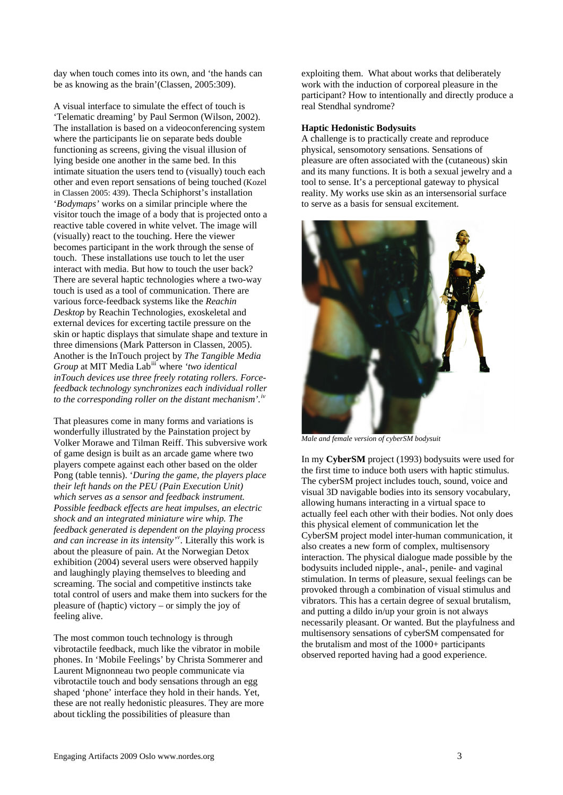day when touch comes into its own, and 'the hands can be as knowing as the brain'(Classen, 2005:309).

A visual interface to simulate the effect of touch is 'Telematic dreaming' by Paul Sermon (Wilson, 2002). The installation is based on a videoconferencing system where the participants lie on separate beds double functioning as screens, giving the visual illusion of lying beside one another in the same bed. In this intimate situation the users tend to (visually) touch each other and even report sensations of being touched (Kozel in Classen 2005: 439). Thecla Schiphorst's installation '*Bodymaps'* works on a similar principle where the visitor touch the image of a body that is projected onto a reactive table covered in white velvet. The image will (visually) react to the touching. Here the viewer becomes participant in the work through the sense of touch. These installations use touch to let the user interact with media. But how to touch the user back? There are several haptic technologies where a two-way touch is used as a tool of communication. There are various force-feedback systems like the *Reachin Desktop* by Reachin Technologies, exoskeletal and external devices for excerting tactile pressure on the skin or haptic displays that simulate shape and texture in three dimensions (Mark Patterson in Classen, 2005). Another is the InTouch project by *The Tangible Media Group* at MIT Media Lab[iii](#page-4-1) where *'two identical inTouch devices use three freely rotating rollers. Forcefeedback technology synchronizes each individual roller to the corresponding roller on the distant mechanism'.[iv](#page-4-1)*

That pleasures come in many forms and variations is wonderfully illustrated by the Painstation project by Volker Morawe and Tilman Reiff. This subversive work of game design is built as an arcade game where two players compete against each other based on the older Pong (table tennis). '*During the game, the players place their left hands on the PEU (Pain Execution Unit) which serves as a sensor and feedback instrument. Possible feedback effects are heat impulses, an electric shock and an integrated miniature wire whip. The feedback generated is dependent on the playing process and can increase in its intensity'[v](#page-4-1) .* Literally this work is about the pleasure of pain. At the Norwegian Detox exhibition (2004) several users were observed happily and laughingly playing themselves to bleeding and screaming. The social and competitive instincts take total control of users and make them into suckers for the pleasure of (haptic) victory – or simply the joy of feeling alive.

The most common touch technology is through vibrotactile feedback, much like the vibrator in mobile phones. In 'Mobile Feelings' by Christa Sommerer and Laurent Mignonneau two people communicate via vibrotactile touch and body sensations through an egg shaped 'phone' interface they hold in their hands. Yet, these are not really hedonistic pleasures. They are more about tickling the possibilities of pleasure than

exploiting them. What about works that deliberately work with the induction of corporeal pleasure in the participant? How to intentionally and directly produce a real Stendhal syndrome?

#### **Haptic Hedonistic Bodysuits**

A challenge is to practically create and reproduce physical, sensomotory sensations. Sensations of pleasure are often associated with the (cutaneous) skin and its many functions. It is both a sexual jewelry and a tool to sense. It's a perceptional gateway to physical reality. My works use skin as an intersensorial surface to serve as a basis for sensual excitement.



*Male and female version of cyberSM bodysuit* 

In my **CyberSM** project (1993) bodysuits were used for the first time to induce both users with haptic stimulus. The cyberSM project includes touch, sound, voice and visual 3D navigable bodies into its sensory vocabulary, allowing humans interacting in a virtual space to actually feel each other with their bodies. Not only does this physical element of communication let the CyberSM project model inter-human communication, it also creates a new form of complex, multisensory interaction. The physical dialogue made possible by the bodysuits included nipple-, anal-, penile- and vaginal stimulation. In terms of pleasure, sexual feelings can be provoked through a combination of visual stimulus and vibrators. This has a certain degree of sexual brutalism, and putting a dildo in/up your groin is not always necessarily pleasant. Or wanted. But the playfulness and multisensory sensations of cyberSM compensated for the brutalism and most of the 1000+ participants observed reported having had a good experience.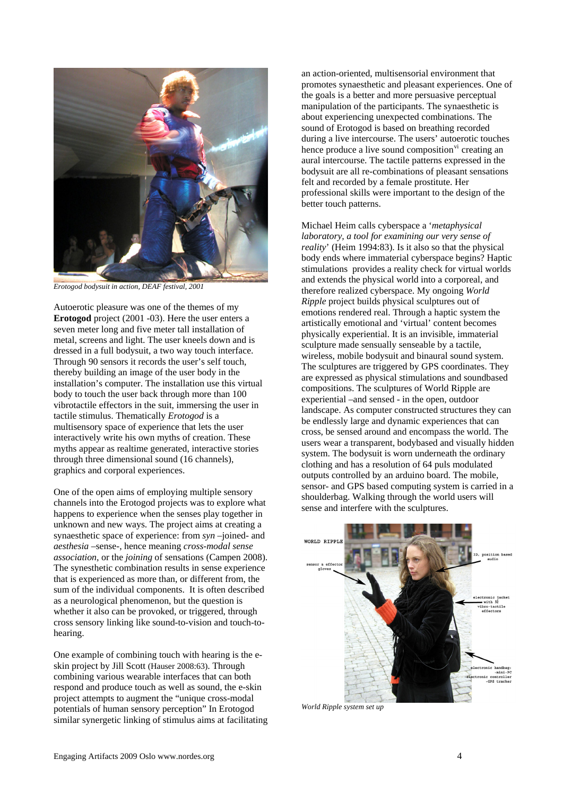

*Erotogod bodysuit in action, DEAF festival, 2001* 

Autoerotic pleasure was one of the themes of my **Erotogod** project (2001 -03). Here the user enters a seven meter long and five meter tall installation of metal, screens and light. The user kneels down and is dressed in a full bodysuit, a two way touch interface. Through 90 sensors it records the user's self touch, thereby building an image of the user body in the installation's computer. The installation use this virtual body to touch the user back through more than 100 vibrotactile effectors in the suit, immersing the user in tactile stimulus. Thematically *Erotogod* is a multisensory space of experience that lets the user interactively write his own myths of creation. These myths appear as realtime generated, interactive stories through three dimensional sound (16 channels), graphics and corporal experiences.

One of the open aims of employing multiple sensory channels into the Erotogod projects was to explore what happens to experience when the senses play together in unknown and new ways. The project aims at creating a synaesthetic space of experience: from *syn –*joined- and *aesthesia –*sense-, hence meaning *cross-modal sense association*, or the *joining* of sensations (Campen 2008). The synesthetic combination results in sense experience that is experienced as more than, or different from, the sum of the individual components. It is often described as a neurological phenomenon, but the question is whether it also can be provoked, or triggered, through cross sensory linking like sound-to-vision and touch-tohearing.

One example of combining touch with hearing is the eskin project by Jill Scott (Hauser 2008:63). Through combining various wearable interfaces that can both respond and produce touch as well as sound, the e-skin project attempts to augment the "unique cross-modal potentials of human sensory perception" In Erotogod similar synergetic linking of stimulus aims at facilitating

an action-oriented, multisensorial environment that promotes synaesthetic and pleasant experiences. One of the goals is a better and more persuasive perceptual manipulation of the participants. The synaesthetic is about experiencing unexpected combinations. The sound of Erotogod is based on breathing recorded during a live intercourse. The users' autoerotic touches hence produce a live sound composition<sup>[vi](#page-4-1)</sup> creating an aural intercourse. The tactile patterns expressed in the bodysuit are all re-combinations of pleasant sensations felt and recorded by a female prostitute. Her professional skills were important to the design of the better touch patterns.

Michael Heim calls cyberspace a '*metaphysical laboratory, a tool for examining our very sense of reality*' (Heim 1994:83). Is it also so that the physical body ends where immaterial cyberspace begins? Haptic stimulations provides a reality check for virtual worlds and extends the physical world into a corporeal, and therefore realized cyberspace. My ongoing *World Ripple* project builds physical sculptures out of emotions rendered real. Through a haptic system the artistically emotional and 'virtual' content becomes physically experiential. It is an invisible, immaterial sculpture made sensually senseable by a tactile, wireless, mobile bodysuit and binaural sound system. The sculptures are triggered by GPS coordinates. They are expressed as physical stimulations and soundbased compositions. The sculptures of World Ripple are experiential –and sensed - in the open, outdoor landscape. As computer constructed structures they can be endlessly large and dynamic experiences that can cross, be sensed around and encompass the world. The users wear a transparent, bodybased and visually hidden system. The bodysuit is worn underneath the ordinary clothing and has a resolution of 64 puls modulated outputs controlled by an arduino board. The mobile, sensor- and GPS based computing system is carried in a shoulderbag. Walking through the world users will sense and interfere with the sculptures.



*World Ripple system set up*